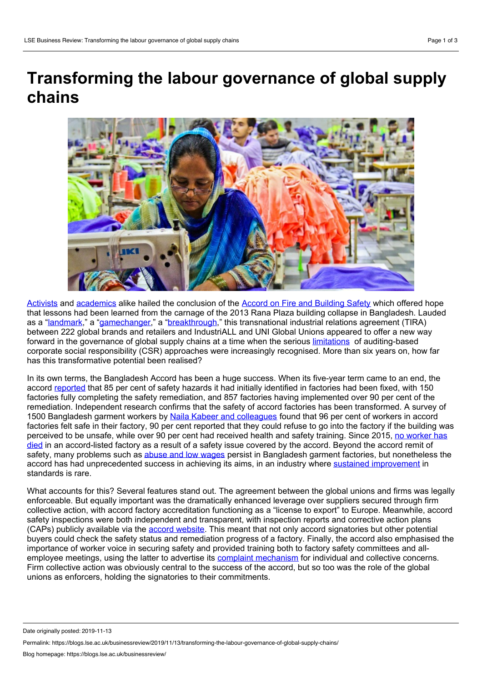## **Transforming the labour governance of global supply chains**



[Activists](https://cleanclothes.org/news/2017/05/11/marking-the-anniversary-of-the-landmark-agreement-on-workers-safety) and [academics](https://heinonline.org/HOL/LandingPage?handle=hein.journals/cllpj35&div=4&id=&page=) alike hailed the conclusion of the Accord on Fire and [Building](https://bangladeshaccord.org/) Safety which offered hope that lessons had been learned from the carnage of the 2013 Rana Plaza building collapse in Bangladesh. Lauded as a ["landmark,](https://cleanclothes.org/news/2017/05/11/marking-the-anniversary-of-the-landmark-agreement-on-workers-safety)" a "[gamechanger](https://www.solidaritycenter.org/experts-bangladesh-accord-is-a-game-changer/)," a ["breakthrough,](https://heinonline.org/HOL/LandingPage?handle=hein.journals/cllpj35&div=4&id=&page=)" this transnational industrial relations agreement (TIRA) between 222 global brands and retailers and IndustriALL and UNI Global Unions appeared to offer a new way forward in the governance of global supply chains at a time when the serious [limitations](https://www.cambridge.org/core/books/promise-and-limits-of-private-power/27BA4A65BC48CA059DE12FD643BD7905) of auditing-based corporate social responsibility (CSR) approaches were increasingly recognised. More than six years on, how far has this transformative potential been realised?

In its own terms, the Bangladesh Accord has been a huge success. When its five-year term came to an end, the accord [reported](https://bangladeshaccord.org/updates/2018/07/20/achievements-2013-accord) that 85 per cent of safety hazards it had initially identified in factories had been fixed, with 150 factories fully completing the safety remediation, and 857 factories having implemented over 90 per cent of the remediation. Independent research confirms that the safety of accord factories has been transformed. A survey of 1500 Bangladesh garment workers by Naila Kabeer and [colleagues](http://www.lse.ac.uk/international-development/Assets/Documents/PDFs/Working-Papers/WP193.pdf) found that 96 per cent of workers in accord factories felt safe in their factory, 90 per cent reported that they could refuse to go into the factory if the building was perceived to be unsafe, while over 90 per cent had received health and safety training. Since 2015, no worker has died in an [accord-listed](https://laborrights.org/sites/default/files/publications/Calling%20for%20Remedy%205-14.pdf) factory as a result of a safety issue covered by the accord. Beyond the accord remit of safety, many problems such as abuse and low [wages](https://www.wiwiss.fu-berlin.de/forschung/Garments/Medien/04-09-Changes-in-the-Governance-final.pdf) persist in Bangladesh garment factories, but nonetheless the accord has had unprecedented success in achieving its aims, in an industry where sustained [improvement](https://journals.sagepub.com/doi/10.1177/0032329209338922) in standards is rare.

What accounts for this? Several features stand out. The agreement between the global unions and firms was legally enforceable. But equally important was the dramatically enhanced leverage over suppliers secured through firm collective action, with accord factory accreditation functioning as a "license to export" to Europe. Meanwhile, accord safety inspections were both independent and transparent, with inspection reports and corrective action plans (CAPs) publicly available via the accord [website](https://bangladeshaccord.org/factories). This meant that not only accord signatories but other potential buyers could check the safety status and remediation progress of a factory. Finally, the accord also emphasised the importance of worker voice in securing safety and provided training both to factory safety committees and all employee meetings, using the latter to advertise its complaint [mechanism](https://laborrights.org/sites/default/files/publications/Calling%20for%20Remedy%205-14.pdf) for individual and collective concerns. Firm collective action was obviously central to the success of the accord, but so too was the role of the global unions as enforcers, holding the signatories to their commitments.

Date originally posted: 2019-11-13

Permalink: https://blogs.lse.ac.uk/businessreview/2019/11/13/transforming-the-labour-governance-of-global-supply-chains/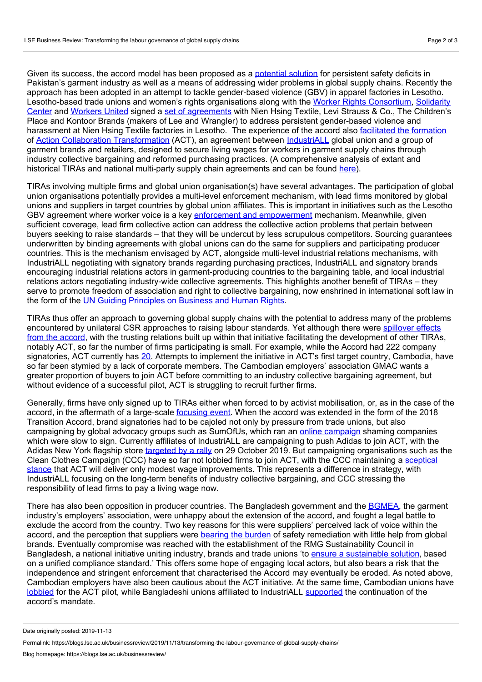Given its success, the accord model has been proposed as a [potential](https://laborrights.org/publications/pakistans-garment-workers-need-safety-accord) solution for persistent safety deficits in Pakistan's garment industry as well as a means of addressing wider problems in global supply chains. Recently the approach has been adopted in an attempt to tackle gender-based violence (GBV) in apparel factories in Lesotho. [Lesotho-based](https://www.solidaritycenter.org/who-we-are/) trade unions and women's rights organisations along with the Worker Rights [Consortium,](https://www.workersrights.org) Solidarity Center and [Workers](https://www.workersunited.org/about-us) United signed a set of [agreements](https://www.workersrights.org/press-release/leading-apparel-brands-trade-unions-and-womens-rights-organizations-sign-binding-agreements-to-combat-gender-based-violence-and-harassment-at-key-suppliers-factories-in-lesotho/) with Nien Hsing Textile, Levi Strauss & Co., The Children's Place and Kontoor Brands (makers of Lee and Wrangler) to address persistent gender-based violence and harassment at Nien Hsing Textile factories in Lesotho. The experience of the accord also [facilitated](http://eprints.lse.ac.uk/100997/) the formation of Action Collaboration [Transformation](https://actonlivingwages.com/) (ACT), an agreement between [IndustriALL](http://www.industriall-union.org/who-we-are) global union and a group of garment brands and retailers, designed to secure living wages for workers in garment supply chains through industry collective bargaining and reformed purchasing practices. (A comprehensive analysis of extant and historical TIRAs and national multi-party supply chain agreements and can be found [here](https://www.ilo.org/wcmsp5/groups/public/---ed_protect/---protrav/---travail/documents/publication/wcms_655541.pdf)).

TIRAs involving multiple firms and global union organisation(s) have several advantages. The participation of global union organisations potentially provides a multi-level enforcement mechanism, with lead firms monitored by global unions and suppliers in target countries by global union affiliates. This is important in initiatives such as the Lesotho GBV agreement where worker voice is a key enforcement and [empowerment](https://blogs.lse.ac.uk/businessreview/2018/02/05/taking-metoo-into-global-supply-chains/) mechanism. Meanwhile, given sufficient coverage, lead firm collective action can address the collective action problems that pertain between buyers seeking to raise standards – that they will be undercut by less scrupulous competitors. Sourcing guarantees underwritten by binding agreements with global unions can do the same for suppliers and participating producer countries. This is the mechanism envisaged by ACT, alongside multi-level industrial relations mechanisms, with IndustriALL negotiating with signatory brands regarding purchasing practices, IndustriALL and signatory brands encouraging industrial relations actors in garment-producing countries to the bargaining table, and local industrial relations actors negotiating industry-wide collective agreements. This highlights another benefit of TIRAs – they serve to promote freedom of association and right to collective bargaining, now enshrined in international soft law in the form of the UN Guiding [Principles](https://www.ohchr.org/documents/publications/GuidingprinciplesBusinesshr_eN.pdf) on Business and Human Rights.

TIRAs thus offer an approach to governing global supply chains with the potential to address many of the problems encountered by unilateral CSR approaches to raising labour standards. Yet although there were spillover effects from the accord, with the trusting relations built up within that initiative facilitating the [development](http://eprints.lse.ac.uk/100997/) of other TIRAs, notably ACT, so far the number of firms participating is small*.* For example, while the Accord had 222 company signatories, ACT currently has [20](https://actonlivingwages.com/members/). Attempts to implement the initiative in ACT's first target country, Cambodia, have so far been stymied by a lack of corporate members. The Cambodian employers' association GMAC wants a greater proportion of buyers to join ACT before committing to an industry collective bargaining agreement, but without evidence of a successful pilot, ACT is struggling to recruit further firms.

Generally, firms have only signed up to TIRAs either when forced to by activist mobilisation, or, as in the case of the accord, in the aftermath of a large-scale [focusing](https://journals.sagepub.com/doi/full/10.1177/0019793918771360) event. When the accord was extended in the form of the 2018 Transition Accord, brand signatories had to be cajoled not only by pressure from trade unions, but also campaigning by global advocacy groups such as SumOfUs, which ran an online [campaign](https://actions.sumofus.org/a/john-lewis-marks-and-spencer-debenhams-topshop-sainsbury-s-sign-the-2018-bangladesh-accord-to-ensure-a-tragedy-like-the-rana-plaza-collapse-never-happens-again) shaming companies which were slow to sign. Currently affiliates of IndustriALL are campaigning to push Adidas to join ACT, with the Adidas New York flagship store [targeted](http://www.industriall-union.org/adidas-get-off-the-sidelines) by a rally on 29 October 2019. But campaigning organisations such as the Clean Clothes Campaign (CCC) have so far not lobbied firms to join ACT, with the CCC maintaining a sceptical stance that ACT will deliver only modest wage [improvements.](https://cleanclothes.org/file-repository/faqs-on-act.pdf/view) This represents a difference in strategy, with IndustriALL focusing on the long-term benefits of industry collective bargaining, and CCC stressing the responsibility of lead firms to pay a living wage now.

There has also been opposition in producer countries. The Bangladesh government and the [BGMEA](http://www.bgmea.com.bd/), the garment industry's employers' association, were unhappy about the extension of the accord, and fought a legal battle to exclude the accord from the country. Two key reasons for this were suppliers' perceived lack of voice within the accord, and the perception that suppliers were [bearing](https://blogs.lse.ac.uk/businessreview/2018/12/17/after-rana-plaza-the-politics-of-sharing/) the burden of safety remediation with little help from global brands. Eventually compromise was reached with the establishment of the RMG Sustainability Council in Bangladesh, a national initiative uniting industry, brands and trade unions 'to ensure a [sustainable](https://bangladeshaccord.org/updates/2019/09/04/joint-statement-bgmea-accord-discussions-on-the-establishment-of-the-rmg-sustainability-council) solution, based on a unified compliance standard.' This offers some hope of engaging local actors, but also bears a risk that the independence and stringent enforcement that characterised the Accord may eventually be eroded. As noted above, Cambodian employers have also been cautious about the ACT initiative. At the same time, Cambodian unions have [lobbied](http://www.industriall-union.org/cambodian-unions-demand-sectoral-bargaining-to-achieve-living-wage) for the ACT pilot, while Bangladeshi unions affiliated to IndustriALL [supported](http://www.industriall-union.org/bangladesh-unions-call-for-accord-to-continue-on-6th-anniversary-of-rana-plaza) the continuation of the accord's mandate.

Date originally posted: 2019-11-13

Permalink: https://blogs.lse.ac.uk/businessreview/2019/11/13/transforming-the-labour-governance-of-global-supply-chains/